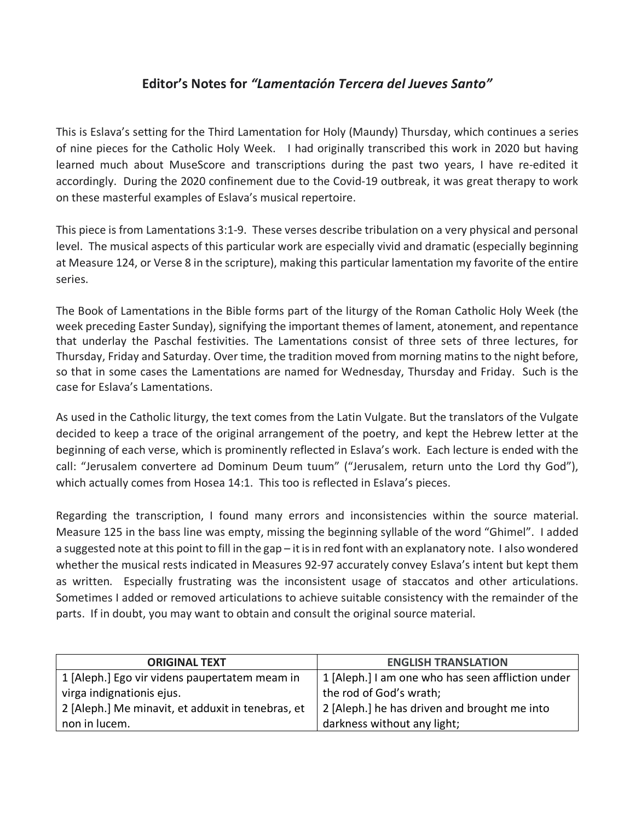## **Editor's Notes for** *"Lamentación Tercera del Jueves Santo"*

This is Eslava's setting for the Third Lamentation for Holy (Maundy) Thursday, which continues a series of nine pieces for the Catholic Holy Week. I had originally transcribed this work in 2020 but having learned much about MuseScore and transcriptions during the past two years, I have re-edited it accordingly. During the 2020 confinement due to the Covid-19 outbreak, it was great therapy to work on these masterful examples of Eslava's musical repertoire.

This piece is from Lamentations 3:1-9. These verses describe tribulation on a very physical and personal level. The musical aspects of this particular work are especially vivid and dramatic (especially beginning at Measure 124, or Verse 8 in the scripture), making this particular lamentation my favorite of the entire series.

The Book of Lamentations in the Bible forms part of the liturgy of the Roman Catholic Holy Week (the week preceding Easter Sunday), signifying the important themes of lament, atonement, and repentance that underlay the Paschal festivities. The Lamentations consist of three sets of three lectures, for Thursday, Friday and Saturday. Over time, the tradition moved from morning matins to the night before, so that in some cases the Lamentations are named for Wednesday, Thursday and Friday. Such is the case for Eslava's Lamentations.

As used in the Catholic liturgy, the text comes from the Latin Vulgate. But the translators of the Vulgate decided to keep a trace of the original arrangement of the poetry, and kept the Hebrew letter at the beginning of each verse, which is prominently reflected in Eslava's work. Each lecture is ended with the call: "Jerusalem convertere ad Dominum Deum tuum" ("Jerusalem, return unto the Lord thy God"), which actually comes from Hosea 14:1. This too is reflected in Eslava's pieces.

Regarding the transcription, I found many errors and inconsistencies within the source material. Measure 125 in the bass line was empty, missing the beginning syllable of the word "Ghimel". I added a suggested note at this point to fill in the gap – it is in red font with an explanatory note. I also wondered whether the musical rests indicated in Measures 92-97 accurately convey Eslava's intent but kept them as written. Especially frustrating was the inconsistent usage of staccatos and other articulations. Sometimes I added or removed articulations to achieve suitable consistency with the remainder of the parts. If in doubt, you may want to obtain and consult the original source material.

| <b>ORIGINAL TEXT</b>                              | <b>ENGLISH TRANSLATION</b>                        |
|---------------------------------------------------|---------------------------------------------------|
| 1 [Aleph.] Ego vir videns paupertatem meam in     | 1 [Aleph.] I am one who has seen affliction under |
| virga indignationis ejus.                         | the rod of God's wrath;                           |
| 2 [Aleph.] Me minavit, et adduxit in tenebras, et | 2 [Aleph.] he has driven and brought me into      |
| non in lucem.                                     | darkness without any light;                       |